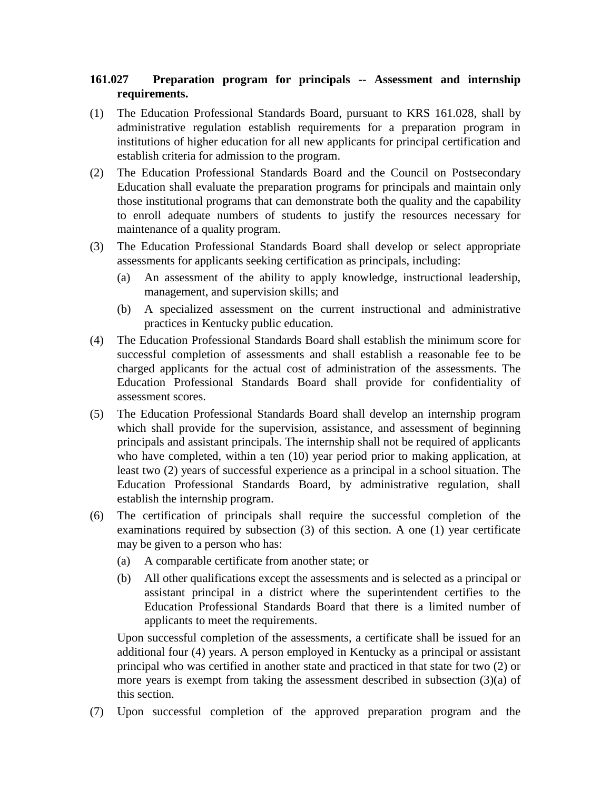## **161.027 Preparation program for principals -- Assessment and internship requirements.**

- (1) The Education Professional Standards Board, pursuant to KRS 161.028, shall by administrative regulation establish requirements for a preparation program in institutions of higher education for all new applicants for principal certification and establish criteria for admission to the program.
- (2) The Education Professional Standards Board and the Council on Postsecondary Education shall evaluate the preparation programs for principals and maintain only those institutional programs that can demonstrate both the quality and the capability to enroll adequate numbers of students to justify the resources necessary for maintenance of a quality program.
- (3) The Education Professional Standards Board shall develop or select appropriate assessments for applicants seeking certification as principals, including:
	- (a) An assessment of the ability to apply knowledge, instructional leadership, management, and supervision skills; and
	- (b) A specialized assessment on the current instructional and administrative practices in Kentucky public education.
- (4) The Education Professional Standards Board shall establish the minimum score for successful completion of assessments and shall establish a reasonable fee to be charged applicants for the actual cost of administration of the assessments. The Education Professional Standards Board shall provide for confidentiality of assessment scores.
- (5) The Education Professional Standards Board shall develop an internship program which shall provide for the supervision, assistance, and assessment of beginning principals and assistant principals. The internship shall not be required of applicants who have completed, within a ten (10) year period prior to making application, at least two (2) years of successful experience as a principal in a school situation. The Education Professional Standards Board, by administrative regulation, shall establish the internship program.
- (6) The certification of principals shall require the successful completion of the examinations required by subsection (3) of this section. A one (1) year certificate may be given to a person who has:
	- (a) A comparable certificate from another state; or
	- (b) All other qualifications except the assessments and is selected as a principal or assistant principal in a district where the superintendent certifies to the Education Professional Standards Board that there is a limited number of applicants to meet the requirements.

Upon successful completion of the assessments, a certificate shall be issued for an additional four (4) years. A person employed in Kentucky as a principal or assistant principal who was certified in another state and practiced in that state for two (2) or more years is exempt from taking the assessment described in subsection (3)(a) of this section.

(7) Upon successful completion of the approved preparation program and the